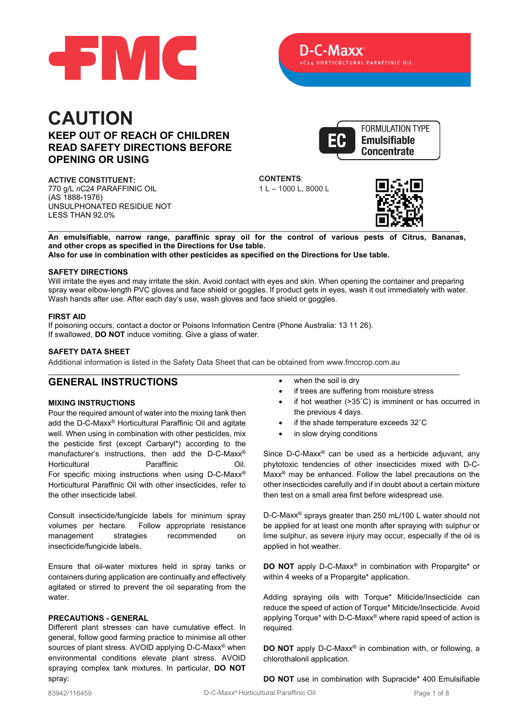

# **CAUTION KEEP OUT OF REACH OF CHILDREN READ SAFETY DIRECTIONS BEFORE OPENING OR USING**

**ACTIVE CONSTITUENT:** 770 g/L *n*C24 PARAFFINIC OIL (AS 1888-1976) UNSULPHONATED RESIDUE NOT LESS THAN 92.0%



**CONTENTS**: 1 L – 1000 L, 8000 L



**An emulsifiable, narrow range, paraffinic spray oil for the control of various pests of Citrus, Bananas, and other crops as specified in the Directions for Use table. Also for use in combination with other pesticides as specified on the Directions for Use table.**

#### **SAFETY DIRECTIONS**

Will irritate the eyes and may irritate the skin. Avoid contact with eyes and skin. When opening the container and preparing spray wear elbow-length PVC gloves and face shield or goggles. If product gets in eyes, wash it out immediately with water. Wash hands after use. After each day's use, wash gloves and face shield or goggles.

#### **FIRST AID**

If poisoning occurs, contact a doctor or Poisons Information Centre (Phone Australia: 13 11 26). If swallowed, **DO NOT** induce vomiting. Give a glass of water.

# **SAFETY DATA SHEET**

Additional information is listed in the Safety Data Sheet that can be obtained from [www.fmccrop.com.au](http://www.fmccrop.com.au/)

# **GENERAL INSTRUCTIONS**

#### **MIXING INSTRUCTIONS**

Pour the required amount of water into the mixing tank then add the D-C-Maxx® Horticultural Paraffinic Oil and agitate well. When using in combination with other pesticides, mix the pesticide first (except Carbaryl\*) according to the manufacturer's instructions, then add the D-C-Maxx® Horticultural Paraffinic Oil. For specific mixing instructions when using D-C-Maxx® Horticultural Paraffinic Oil with other insecticides, refer to the other insecticide label.

Consult insecticide/fungicide labels for minimum spray volumes per hectare. Follow appropriate resistance management strategies recommended on insecticide/fungicide labels.

Ensure that oil-water mixtures held in spray tanks or containers during application are continually and effectively agitated or stirred to prevent the oil separating from the water.

#### **PRECAUTIONS - GENERAL**

Different plant stresses can have cumulative effect. In general, follow good farming practice to minimise all other sources of plant stress. AVOID applying D-C-Maxx<sup>®</sup> when environmental conditions elevate plant stress. AVOID spraying complex tank mixtures. In particular, **DO NOT** spray:

- when the soil is dry
- if trees are suffering from moisture stress
- if hot weather  $(>35^{\circ}C)$  is imminent or has occurred in the previous 4 days.
- if the shade temperature exceeds 32°C
- in slow drying conditions

Since D-C-Maxx® can be used as a herbicide adjuvant, any phytotoxic tendencies of other insecticides mixed with D-C-Maxx® may be enhanced. Follow the label precautions on the other insecticides carefully and if in doubt about a certain mixture then test on a small area first before widespread use.

D-C-Maxx® sprays greater than 250 mL/100 L water should not be applied for at least one month after spraying with sulphur or lime sulphur, as severe injury may occur, especially if the oil is applied in hot weather.

**DO NOT** apply D-C-Maxx<sup>®</sup> in combination with Propargite\* or within 4 weeks of a Propargite\* application.

Adding spraying oils with Torque\* Miticide/Insecticide can reduce the speed of action of Torque\* Miticide/Insecticide. Avoid applying Torque\* with D-C-Maxx® where rapid speed of action is required.

**DO NOT** apply D-C-Maxx® in combination with, or following, a chlorothalonil application.

**DO NOT** use in combination with Supracide\* 400 Emulsifiable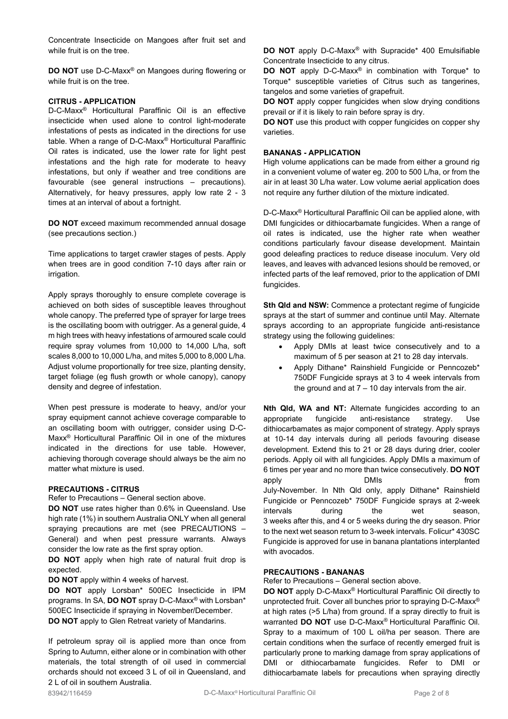Concentrate Insecticide on Mangoes after fruit set and while fruit is on the tree.

**DO NOT** use D-C-Maxx<sup>®</sup> on Mangoes during flowering or while fruit is on the tree.

#### **CITRUS - APPLICATION**

D-C-Maxx® Horticultural Paraffinic Oil is an effective insecticide when used alone to control light-moderate infestations of pests as indicated in the directions for use table. When a range of D-C-Maxx® Horticultural Paraffinic Oil rates is indicated, use the lower rate for light pest infestations and the high rate for moderate to heavy infestations, but only if weather and tree conditions are favourable (see general instructions – precautions). Alternatively, for heavy pressures, apply low rate 2 - 3 times at an interval of about a fortnight.

**DO NOT** exceed maximum recommended annual dosage (see precautions section.)

Time applications to target crawler stages of pests. Apply when trees are in good condition 7-10 days after rain or irrigation.

Apply sprays thoroughly to ensure complete coverage is achieved on both sides of susceptible leaves throughout whole canopy. The preferred type of sprayer for large trees is the oscillating boom with outrigger. As a general guide, 4 m high trees with heavy infestations of armoured scale could require spray volumes from 10,000 to 14,000 L/ha, soft scales 8,000 to 10,000 L/ha, and mites 5,000 to 8,000 L/ha. Adjust volume proportionally for tree size, planting density, target foliage (eg flush growth or whole canopy), canopy density and degree of infestation.

When pest pressure is moderate to heavy, and/or your spray equipment cannot achieve coverage comparable to an oscillating boom with outrigger, consider using D-C-Maxx® Horticultural Paraffinic Oil in one of the mixtures indicated in the directions for use table. However, achieving thorough coverage should always be the aim no matter what mixture is used.

#### **PRECAUTIONS - CITRUS**

Refer to Precautions – General section above.

**DO NOT** use rates higher than 0.6% in Queensland. Use high rate (1%) in southern Australia ONLY when all general spraying precautions are met (see PRECAUTIONS – General) and when pest pressure warrants. Always consider the low rate as the first spray option.

**DO NOT** apply when high rate of natural fruit drop is expected.

**DO NOT** apply within 4 weeks of harvest.

**DO NOT** apply Lorsban\* 500EC Insecticide in IPM programs. In SA, **DO NOT** spray D-C-Maxx® with Lorsban\* 500EC Insecticide if spraying in November/December. **DO NOT** apply to Glen Retreat variety of Mandarins.

If petroleum spray oil is applied more than once from Spring to Autumn, either alone or in combination with other materials, the total strength of oil used in commercial orchards should not exceed 3 L of oil in Queensland, and 2 L of oil in southern Australia.

**DO NOT** apply D-C-Maxx® with Supracide\* 400 Emulsifiable Concentrate Insecticide to any citrus.

**DO NOT** apply D-C-Maxx® in combination with Torque\* to Torque\* susceptible varieties of Citrus such as tangerines, tangelos and some varieties of grapefruit.

**DO NOT** apply copper fungicides when slow drying conditions prevail or if it is likely to rain before spray is dry.

**DO NOT** use this product with copper fungicides on copper shy varieties.

#### **BANANAS - APPLICATION**

High volume applications can be made from either a ground rig in a convenient volume of water eg. 200 to 500 L/ha, or from the air in at least 30 L/ha water. Low volume aerial application does not require any further dilution of the mixture indicated.

D-C-Maxx® Horticultural Paraffinic Oil can be applied alone, with DMI fungicides or dithiocarbamate fungicides. When a range of oil rates is indicated, use the higher rate when weather conditions particularly favour disease development. Maintain good deleafing practices to reduce disease inoculum. Very old leaves, and leaves with advanced lesions should be removed, or infected parts of the leaf removed, prior to the application of DMI fungicides.

**Sth Qld and NSW:** Commence a protectant regime of fungicide sprays at the start of summer and continue until May. Alternate sprays according to an appropriate fungicide anti-resistance strategy using the following guidelines:

- Apply DMIs at least twice consecutively and to a maximum of 5 per season at 21 to 28 day intervals.
- Apply Dithane\* Rainshield Fungicide or Penncozeb\* 750DF Fungicide sprays at 3 to 4 week intervals from the ground and at  $7 - 10$  day intervals from the air.

**Nth Qld, WA and NT:** Alternate fungicides according to an appropriate fungicide anti-resistance strategy. Use dithiocarbamates as major component of strategy. Apply sprays at 10-14 day intervals during all periods favouring disease development. Extend this to 21 or 28 days during drier, cooler periods. Apply oil with all fungicides. Apply DMIs a maximum of 6 times per year and no more than twice consecutively. **DO NOT** apply **DMIs** DMIs from July-November. In Nth Qld only, apply Dithane\* Rainshield Fungicide or Penncozeb\* 750DF Fungicide sprays at 2-week intervals during the wet season, 3 weeks after this, and 4 or 5 weeks during the dry season. Prior to the next wet season return to 3-week intervals. Folicur\* 430SC Fungicide is approved for use in banana plantations interplanted with avocados.

#### **PRECAUTIONS - BANANAS**

Refer to Precautions – General section above.

**DO NOT** apply D-C-Maxx® Horticultural Paraffinic Oil directly to unprotected fruit. Cover all bunches prior to spraying D-C-Maxx® at high rates (>5 L/ha) from ground. If a spray directly to fruit is warranted **DO NOT** use D-C-Maxx® Horticultural Paraffinic Oil. Spray to a maximum of 100 L oil/ha per season. There are certain conditions when the surface of recently emerged fruit is particularly prone to marking damage from spray applications of DMI or dithiocarbamate fungicides. Refer to DMI or dithiocarbamate labels for precautions when spraying directly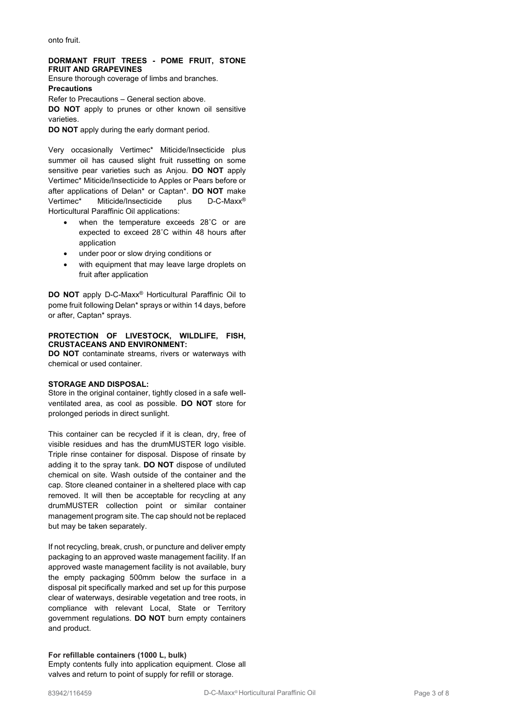onto fruit.

### **DORMANT FRUIT TREES - POME FRUIT, STONE FRUIT AND GRAPEVINES**

Ensure thorough coverage of limbs and branches.

**Precautions**

Refer to Precautions – General section above.

**DO NOT** apply to prunes or other known oil sensitive varieties.

**DO NOT** apply during the early dormant period.

Very occasionally Vertimec\* Miticide/Insecticide plus summer oil has caused slight fruit russetting on some sensitive pear varieties such as Anjou. **DO NOT** apply Vertimec\* Miticide/Insecticide to Apples or Pears before or after applications of Delan\* or Captan\*. **DO NOT** make Vertimec\* Miticide/Insecticide plus D-C-Maxx® Horticultural Paraffinic Oil applications:

- when the temperature exceeds 28°C or are expected to exceed 28˚C within 48 hours after application
- under poor or slow drying conditions or
- with equipment that may leave large droplets on fruit after application

**DO NOT** apply D-C-Maxx® Horticultural Paraffinic Oil to pome fruit following Delan\* sprays or within 14 days, before or after, Captan\* sprays.

#### **PROTECTION OF LIVESTOCK, WILDLIFE, FISH, CRUSTACEANS AND ENVIRONMENT:**

**DO NOT** contaminate streams, rivers or waterways with chemical or used container.

# **STORAGE AND DISPOSAL:**

Store in the original container, tightly closed in a safe wellventilated area, as cool as possible. **DO NOT** store for prolonged periods in direct sunlight.

This container can be recycled if it is clean, dry, free of visible residues and has the drumMUSTER logo visible. Triple rinse container for disposal. Dispose of rinsate by adding it to the spray tank. **DO NOT** dispose of undiluted chemical on site. Wash outside of the container and the cap. Store cleaned container in a sheltered place with cap removed. It will then be acceptable for recycling at any drumMUSTER collection point or similar container management program site. The cap should not be replaced but may be taken separately.

If not recycling, break, crush, or puncture and deliver empty packaging to an approved waste management facility. If an approved waste management facility is not available, bury the empty packaging 500mm below the surface in a disposal pit specifically marked and set up for this purpose clear of waterways, desirable vegetation and tree roots, in compliance with relevant Local, State or Territory government regulations. **DO NOT** burn empty containers and product.

# **For refillable containers (1000 L, bulk)**

Empty contents fully into application equipment. Close all valves and return to point of supply for refill or storage.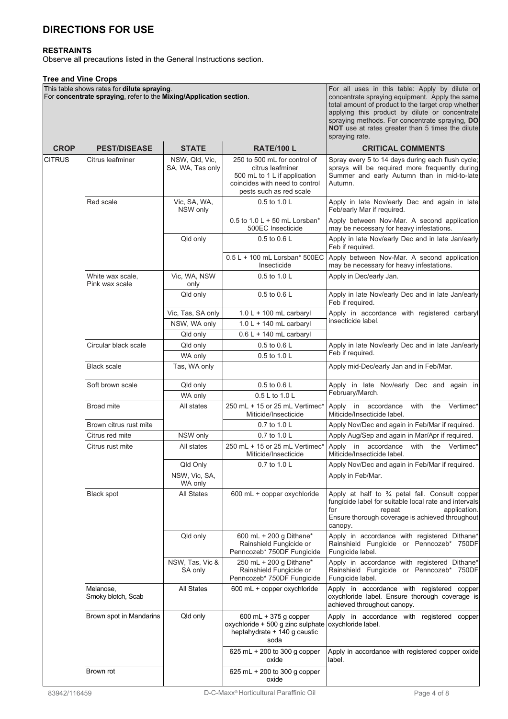# **DIRECTIONS FOR USE**

### **RESTRAINTS**

Observe all precautions listed in the General Instructions section.

# **Tree and Vine Crops**

|               | This table shows rates for dilute spraying.<br>For concentrate spraying, refer to the Mixing/Application section. |                                    |                                                                                                                                               | For all uses in this table: Apply by dilute or<br>concentrate spraying equipment. Apply the same<br>total amount of product to the target crop whether<br>applying this product by dilute or concentrate<br>spraying methods. For concentrate spraying, DO<br>NOT use at rates greater than 5 times the dilute<br>spraying rate. |
|---------------|-------------------------------------------------------------------------------------------------------------------|------------------------------------|-----------------------------------------------------------------------------------------------------------------------------------------------|----------------------------------------------------------------------------------------------------------------------------------------------------------------------------------------------------------------------------------------------------------------------------------------------------------------------------------|
| <b>CROP</b>   | <b>PEST/DISEASE</b>                                                                                               | <b>STATE</b>                       | <b>RATE/100 L</b>                                                                                                                             | <b>CRITICAL COMMENTS</b>                                                                                                                                                                                                                                                                                                         |
| <b>CITRUS</b> | Citrus leafminer                                                                                                  | NSW, Qld, Vic,<br>SA, WA, Tas only | 250 to 500 mL for control of<br>citrus leafminer<br>500 mL to 1 L if application<br>coincides with need to control<br>pests such as red scale | Spray every 5 to 14 days during each flush cycle;<br>sprays will be required more frequently during<br>Summer and early Autumn than in mid-to-late<br>Autumn.                                                                                                                                                                    |
|               | Red scale                                                                                                         | Vic, SA, WA,<br>NSW only           | 0.5 to 1.0 L                                                                                                                                  | Apply in late Nov/early Dec and again in late<br>Feb/early Mar if required.                                                                                                                                                                                                                                                      |
|               |                                                                                                                   |                                    | 0.5 to $1.0 L + 50$ mL Lorsban*<br>500EC Insecticide                                                                                          | Apply between Nov-Mar. A second application<br>may be necessary for heavy infestations.                                                                                                                                                                                                                                          |
|               |                                                                                                                   | Qld only                           | 0.5 to 0.6 L                                                                                                                                  | Apply in late Nov/early Dec and in late Jan/early<br>Feb if required.                                                                                                                                                                                                                                                            |
|               |                                                                                                                   |                                    | 0.5 L + 100 mL Lorsban* 500EC<br>Insecticide                                                                                                  | Apply between Nov-Mar. A second application<br>may be necessary for heavy infestations.                                                                                                                                                                                                                                          |
|               | White wax scale,<br>Pink wax scale                                                                                | Vic, WA, NSW<br>only               | 0.5 to 1.0 L                                                                                                                                  | Apply in Dec/early Jan.                                                                                                                                                                                                                                                                                                          |
|               |                                                                                                                   | Qld only                           | 0.5 to 0.6 L                                                                                                                                  | Apply in late Nov/early Dec and in late Jan/early<br>Feb if required.                                                                                                                                                                                                                                                            |
|               |                                                                                                                   | Vic, Tas, SA only                  | $1.0 L + 100$ mL carbaryl                                                                                                                     | Apply in accordance with registered carbaryl                                                                                                                                                                                                                                                                                     |
|               |                                                                                                                   | NSW, WA only                       | $1.0 L + 140$ mL carbaryl                                                                                                                     | insecticide label.                                                                                                                                                                                                                                                                                                               |
|               |                                                                                                                   | Qld only                           | $0.6 L + 140$ mL carbaryl                                                                                                                     |                                                                                                                                                                                                                                                                                                                                  |
|               | Circular black scale                                                                                              | Qld only<br>WA only                | 0.5 to 0.6 L<br>0.5 to 1.0 L                                                                                                                  | Apply in late Nov/early Dec and in late Jan/early<br>Feb if required.                                                                                                                                                                                                                                                            |
|               | <b>Black scale</b>                                                                                                | Tas, WA only                       |                                                                                                                                               | Apply mid-Dec/early Jan and in Feb/Mar.                                                                                                                                                                                                                                                                                          |
|               | Soft brown scale                                                                                                  | Qld only                           | 0.5 to 0.6 L                                                                                                                                  | Apply in late Nov/early Dec and again in<br>February/March.                                                                                                                                                                                                                                                                      |
|               |                                                                                                                   | WA only                            | 0.5 L to 1.0 L                                                                                                                                |                                                                                                                                                                                                                                                                                                                                  |
|               | <b>Broad mite</b>                                                                                                 | All states                         | 250 mL + 15 or 25 mL Vertimec*<br>Miticide/Insecticide                                                                                        | Vertimec*<br>Apply in accordance<br>with<br>the<br>Miticide/Insecticide label.                                                                                                                                                                                                                                                   |
|               | Brown citrus rust mite                                                                                            |                                    | 0.7 to 1.0 L                                                                                                                                  | Apply Nov/Dec and again in Feb/Mar if required.                                                                                                                                                                                                                                                                                  |
|               | Citrus red mite                                                                                                   | NSW only                           | 0.7 to 1.0 L                                                                                                                                  | Apply Aug/Sep and again in Mar/Apr if required.<br>with the Vertimec*                                                                                                                                                                                                                                                            |
|               | Citrus rust mite                                                                                                  | All states                         | 250 mL + 15 or 25 mL Vertimec*<br>Miticide/Insecticide                                                                                        | Apply in accordance<br>Miticide/Insecticide label.                                                                                                                                                                                                                                                                               |
|               |                                                                                                                   | Qld Only<br>NSW, Vic, SA,          | 0.7 to 1.0 L                                                                                                                                  | Apply Nov/Dec and again in Feb/Mar if required.<br>Apply in Feb/Mar.                                                                                                                                                                                                                                                             |
|               | Black spot                                                                                                        | WA only<br><b>All States</b>       | 600 mL + copper oxychloride                                                                                                                   | Apply at half to 3/4 petal fall. Consult copper<br>fungicide label for suitable local rate and intervals<br>for<br>application.<br>repeat<br>Ensure thorough coverage is achieved throughout<br>canopy.                                                                                                                          |
|               |                                                                                                                   | Qld only                           | 600 mL + 200 g Dithane*<br>Rainshield Fungicide or<br>Penncozeb* 750DF Fungicide                                                              | Apply in accordance with registered Dithane*<br>Rainshield Fungicide or Penncozeb* 750DF<br>Fungicide label.                                                                                                                                                                                                                     |
|               |                                                                                                                   | NSW, Tas, Vic &<br>SA only         | 250 mL + 200 g Dithane*<br>Rainshield Fungicide or<br>Penncozeb* 750DF Fungicide                                                              | Apply in accordance with registered Dithane*<br>Rainshield Fungicide or Penncozeb* 750DF<br>Fungicide label.                                                                                                                                                                                                                     |
|               | Melanose,<br>Smoky blotch, Scab                                                                                   | All States                         | 600 mL + copper oxychloride                                                                                                                   | Apply in accordance with registered copper<br>oxychloride label. Ensure thorough coverage is<br>achieved throughout canopy.                                                                                                                                                                                                      |
|               | Brown spot in Mandarins                                                                                           | Qld only                           | 600 mL + 375 g copper<br>oxychloride + 500 g zinc sulphate<br>heptahydrate + 140 g caustic<br>soda                                            | Apply in accordance with registered copper<br>oxychloride label.                                                                                                                                                                                                                                                                 |
|               |                                                                                                                   |                                    | 625 mL + 200 to 300 g copper<br>oxide                                                                                                         | Apply in accordance with registered copper oxide<br>label.                                                                                                                                                                                                                                                                       |
|               | Brown rot                                                                                                         |                                    | 625 mL + 200 to 300 g copper<br>oxide                                                                                                         |                                                                                                                                                                                                                                                                                                                                  |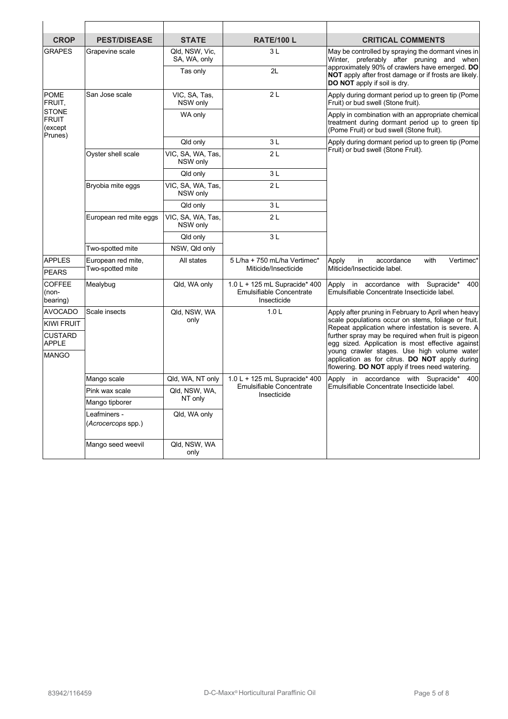| <b>CROP</b>                                                                 | <b>PEST/DISEASE</b>                | <b>STATE</b>                   | <b>RATE/100 L</b>                                                        | <b>CRITICAL COMMENTS</b>                                                                                                                                                                                                                    |
|-----------------------------------------------------------------------------|------------------------------------|--------------------------------|--------------------------------------------------------------------------|---------------------------------------------------------------------------------------------------------------------------------------------------------------------------------------------------------------------------------------------|
| <b>GRAPES</b>                                                               | Grapevine scale                    | Qld, NSW, Vic,<br>SA, WA, only | 3L                                                                       | May be controlled by spraying the dormant vines in<br>Winter, preferably after pruning and when<br>approximately 90% of crawlers have emerged. DO<br>NOT apply after frost damage or if frosts are likely.<br>DO NOT apply if soil is dry.  |
|                                                                             |                                    | Tas only                       | 2L                                                                       |                                                                                                                                                                                                                                             |
| <b>POME</b><br>FRUIT,<br><b>STONE</b><br><b>FRUIT</b><br>(except<br>Prunes) | San Jose scale                     | VIC, SA, Tas,<br>NSW only      | 2L                                                                       | Apply during dormant period up to green tip (Pome<br>Fruit) or bud swell (Stone fruit).<br>Apply in combination with an appropriate chemical<br>treatment during dormant period up to green tip<br>(Pome Fruit) or bud swell (Stone fruit). |
|                                                                             |                                    | WA only                        |                                                                          |                                                                                                                                                                                                                                             |
|                                                                             |                                    | Qld only                       | ЗL                                                                       | Apply during dormant period up to green tip (Pome<br>Fruit) or bud swell (Stone Fruit).                                                                                                                                                     |
|                                                                             | Oyster shell scale                 | VIC, SA, WA, Tas,<br>NSW only  | 2L                                                                       |                                                                                                                                                                                                                                             |
|                                                                             |                                    | Qld only                       | 3L                                                                       |                                                                                                                                                                                                                                             |
|                                                                             | Bryobia mite eggs                  | VIC, SA, WA, Tas,<br>NSW only  | 2L                                                                       |                                                                                                                                                                                                                                             |
|                                                                             |                                    | Qld only                       | 3L                                                                       |                                                                                                                                                                                                                                             |
|                                                                             | European red mite eggs             | VIC, SA, WA, Tas,<br>NSW only  | 2L                                                                       |                                                                                                                                                                                                                                             |
|                                                                             |                                    | Qld only                       | 3L                                                                       |                                                                                                                                                                                                                                             |
|                                                                             | Two-spotted mite                   | NSW, Qld only                  |                                                                          |                                                                                                                                                                                                                                             |
| <b>APPLES</b>                                                               | European red mite,                 | All states                     | 5 L/ha + 750 mL/ha Vertimec*<br>Miticide/Insecticide                     | in<br>with<br>Vertimec*<br>Apply<br>accordance<br>Miticide/Insecticide label.                                                                                                                                                               |
| <b>PEARS</b>                                                                | Two-spotted mite                   |                                |                                                                          |                                                                                                                                                                                                                                             |
| <b>COFFEE</b><br>(non-<br>bearing)                                          | Mealybug                           | Qld, WA only                   | 1.0 L + 125 mL Supracide* 400<br>Emulsifiable Concentrate<br>Insecticide | Apply in accordance with Supracide*<br>400<br>Emulsifiable Concentrate Insecticide label.                                                                                                                                                   |
| <b>AVOCADO</b>                                                              | Scale insects                      | Qld, NSW, WA                   | 1.0 <sub>L</sub>                                                         | Apply after pruning in February to April when heavy                                                                                                                                                                                         |
| <b>KIWI FRUIT</b>                                                           |                                    | only                           |                                                                          | scale populations occur on stems, foliage or fruit.<br>Repeat application where infestation is severe. A<br>further spray may be required when fruit is pigeon<br>egg sized. Application is most effective against                          |
| <b>CUSTARD</b><br><b>APPLE</b>                                              |                                    |                                |                                                                          |                                                                                                                                                                                                                                             |
| <b>MANGO</b>                                                                |                                    |                                |                                                                          | young crawler stages. Use high volume water<br>application as for citrus. DO NOT apply during<br>flowering. DO NOT apply if trees need watering.                                                                                            |
|                                                                             | Mango scale                        | Qld, WA, NT only               | 1.0 L + 125 mL Supracide* 400<br>Emulsifiable Concentrate<br>Insecticide | Apply in accordance with Supracide*<br>400<br>Emulsifiable Concentrate Insecticide label.                                                                                                                                                   |
|                                                                             | Pink wax scale                     | Qld, NSW, WA,<br>NT only       |                                                                          |                                                                                                                                                                                                                                             |
|                                                                             | Mango tipborer                     |                                |                                                                          |                                                                                                                                                                                                                                             |
|                                                                             | Leafminers -<br>(Acrocercops spp.) | Qld, WA only                   |                                                                          |                                                                                                                                                                                                                                             |
|                                                                             | Mango seed weevil                  | Qld, NSW, WA<br>only           |                                                                          |                                                                                                                                                                                                                                             |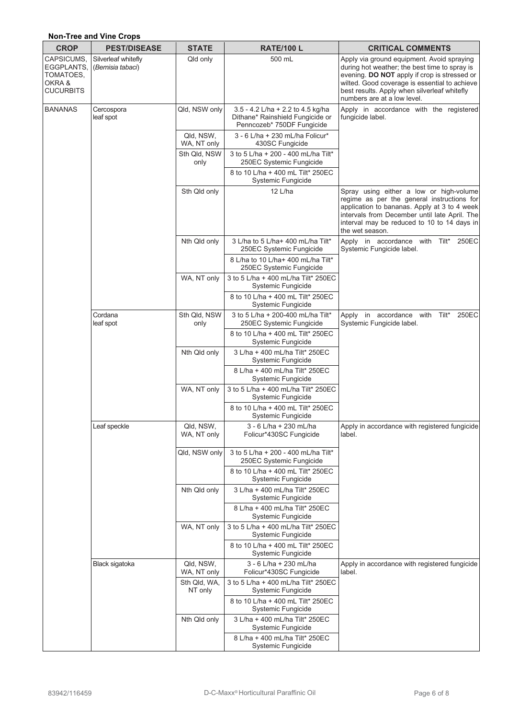# **Non-Tree and Vine Crops**

| <b>CROP</b>                                                         | <b>PEST/DISEASE</b>                     | <b>STATE</b>             | <b>RATE/100 L</b>                                                                                   | <b>CRITICAL COMMENTS</b>                                                                                                                                                                                                                                                    |  |
|---------------------------------------------------------------------|-----------------------------------------|--------------------------|-----------------------------------------------------------------------------------------------------|-----------------------------------------------------------------------------------------------------------------------------------------------------------------------------------------------------------------------------------------------------------------------------|--|
| CAPSICUMS,<br>EGGPLANTS,<br>TOMATOES,<br>OKRA &<br><b>CUCURBITS</b> | Silverleaf whitefly<br>(Bemisia tabaci) | Qld only                 | 500 mL                                                                                              | Apply via ground equipment. Avoid spraying<br>during hot weather; the best time to spray is<br>evening. DO NOT apply if crop is stressed or<br>wilted. Good coverage is essential to achieve<br>best results. Apply when silverleaf whitefly<br>numbers are at a low level. |  |
| <b>BANANAS</b>                                                      | Cercospora<br>leaf spot                 | Qld, NSW only            | 3.5 - 4.2 L/ha + 2.2 to 4.5 kg/ha<br>Dithane* Rainshield Fungicide or<br>Penncozeb* 750DF Fungicide | Apply in accordance with the registered<br>fungicide label.                                                                                                                                                                                                                 |  |
|                                                                     |                                         | Qld, NSW,<br>WA, NT only | 3 - 6 L/ha + 230 mL/ha Folicur*<br>430SC Fungicide                                                  |                                                                                                                                                                                                                                                                             |  |
|                                                                     |                                         | Sth Qld, NSW<br>only     | 3 to 5 L/ha + 200 - 400 mL/ha Tilt*<br>250EC Systemic Fungicide                                     |                                                                                                                                                                                                                                                                             |  |
|                                                                     |                                         |                          | 8 to 10 L/ha + 400 mL Tilt* 250EC<br>Systemic Fungicide                                             |                                                                                                                                                                                                                                                                             |  |
|                                                                     |                                         | Sth Qld only             | 12 L/ha                                                                                             | Spray using either a low or high-volume<br>regime as per the general instructions for<br>application to bananas. Apply at 3 to 4 week<br>intervals from December until late April. The<br>interval may be reduced to 10 to 14 days in<br>the wet season.                    |  |
|                                                                     |                                         | Nth Qld only             | 3 L/ha to 5 L/ha+ 400 mL/ha Tilt*<br>250EC Systemic Fungicide                                       | Apply in accordance with Tilt*<br>250EC<br>Systemic Fungicide label.                                                                                                                                                                                                        |  |
|                                                                     |                                         |                          | 8 L/ha to 10 L/ha+ 400 mL/ha Tilt*<br>250EC Systemic Fungicide                                      |                                                                                                                                                                                                                                                                             |  |
|                                                                     |                                         | WA, NT only              | 3 to 5 L/ha + 400 mL/ha Tilt* 250EC<br>Systemic Fungicide                                           |                                                                                                                                                                                                                                                                             |  |
|                                                                     |                                         |                          | 8 to 10 L/ha + 400 mL Tilt* 250EC<br>Systemic Fungicide                                             |                                                                                                                                                                                                                                                                             |  |
|                                                                     | Cordana<br>leaf spot                    | Sth Qld, NSW<br>only     | 3 to 5 L/ha + 200-400 mL/ha Tilt*<br>250EC Systemic Fungicide                                       | 250EC<br>Apply in accordance with<br>Tilt*<br>Systemic Fungicide label.                                                                                                                                                                                                     |  |
|                                                                     |                                         |                          | 8 to 10 L/ha + 400 mL Tilt* 250EC<br>Systemic Fungicide                                             |                                                                                                                                                                                                                                                                             |  |
|                                                                     |                                         | Nth Qld only             | 3 L/ha + 400 mL/ha Tilt* 250EC<br>Systemic Fungicide                                                |                                                                                                                                                                                                                                                                             |  |
|                                                                     |                                         |                          | 8 L/ha + 400 mL/ha Tilt* 250EC<br>Systemic Fungicide                                                |                                                                                                                                                                                                                                                                             |  |
|                                                                     |                                         | WA, NT only              | 3 to 5 L/ha + 400 mL/ha Tilt* 250EC<br>Systemic Fungicide                                           |                                                                                                                                                                                                                                                                             |  |
|                                                                     |                                         |                          | 8 to 10 L/ha + 400 mL Tilt* 250EC<br><b>Systemic Fungicide</b>                                      |                                                                                                                                                                                                                                                                             |  |
|                                                                     | Leaf speckle                            | Qld, NSW,<br>WA, NT only | 3 - 6 L/ha + 230 mL/ha<br>Folicur*430SC Fungicide                                                   | Apply in accordance with registered fungicide<br>label.                                                                                                                                                                                                                     |  |
|                                                                     |                                         | Qld, NSW only            | 3 to 5 L/ha + 200 - 400 mL/ha Tilt*<br>250EC Systemic Fungicide                                     |                                                                                                                                                                                                                                                                             |  |
|                                                                     |                                         |                          | 8 to 10 L/ha + 400 mL Tilt* 250EC<br>Systemic Fungicide                                             |                                                                                                                                                                                                                                                                             |  |
|                                                                     |                                         | Nth Qld only             | 3 L/ha + 400 mL/ha Tilt* 250EC<br>Systemic Fungicide                                                |                                                                                                                                                                                                                                                                             |  |
|                                                                     |                                         |                          | 8 L/ha + 400 mL/ha Tilt* 250EC<br>Systemic Fungicide                                                |                                                                                                                                                                                                                                                                             |  |
|                                                                     |                                         | WA, NT only              | 3 to 5 L/ha + 400 mL/ha Tilt* 250EC<br>Systemic Fungicide                                           |                                                                                                                                                                                                                                                                             |  |
|                                                                     |                                         |                          | 8 to 10 L/ha + 400 mL Tilt* 250EC<br>Systemic Fungicide                                             |                                                                                                                                                                                                                                                                             |  |
|                                                                     | Black sigatoka                          | Qld, NSW,<br>WA, NT only | 3 - 6 L/ha + 230 mL/ha<br>Folicur*430SC Fungicide                                                   | Apply in accordance with registered fungicide<br>label.                                                                                                                                                                                                                     |  |
|                                                                     |                                         | Sth Qld, WA,<br>NT only  | 3 to 5 L/ha + 400 mL/ha Tilt* 250EC<br>Systemic Fungicide                                           |                                                                                                                                                                                                                                                                             |  |
|                                                                     |                                         |                          | 8 to 10 L/ha + 400 mL Tilt* 250EC<br>Systemic Fungicide                                             |                                                                                                                                                                                                                                                                             |  |
|                                                                     |                                         | Nth Qld only             | 3 L/ha + 400 mL/ha Tilt* 250EC<br>Systemic Fungicide                                                |                                                                                                                                                                                                                                                                             |  |
|                                                                     |                                         |                          | 8 L/ha + 400 mL/ha Tilt* 250EC<br>Systemic Fungicide                                                |                                                                                                                                                                                                                                                                             |  |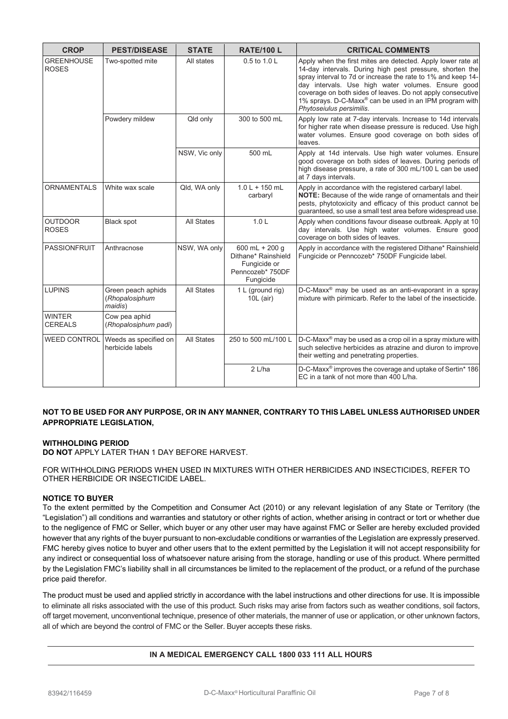| <b>CROP</b>                       | <b>PEST/DISEASE</b>                             | <b>STATE</b>      | <b>RATE/100 L</b>                                                                      | <b>CRITICAL COMMENTS</b>                                                                                                                                                                                                                                                                                                                                                                                        |
|-----------------------------------|-------------------------------------------------|-------------------|----------------------------------------------------------------------------------------|-----------------------------------------------------------------------------------------------------------------------------------------------------------------------------------------------------------------------------------------------------------------------------------------------------------------------------------------------------------------------------------------------------------------|
| <b>GREENHOUSE</b><br><b>ROSES</b> | Two-spotted mite                                | All states        | 0.5 to 1.0 L                                                                           | Apply when the first mites are detected. Apply lower rate at<br>14-day intervals. During high pest pressure, shorten the<br>spray interval to 7d or increase the rate to 1% and keep 14-<br>day intervals. Use high water volumes. Ensure good<br>coverage on both sides of leaves. Do not apply consecutive<br>1% sprays. D-C-Maxx <sup>®</sup> can be used in an IPM program with<br>Phytoseiulus persimilis. |
|                                   | Powdery mildew                                  | Qld only          | 300 to 500 mL                                                                          | Apply low rate at 7-day intervals. Increase to 14d intervals<br>for higher rate when disease pressure is reduced. Use high<br>water volumes. Ensure good coverage on both sides of<br>leaves.                                                                                                                                                                                                                   |
|                                   |                                                 | NSW, Vic only     | 500 mL                                                                                 | Apply at 14d intervals. Use high water volumes. Ensure<br>good coverage on both sides of leaves. During periods of<br>high disease pressure, a rate of 300 mL/100 L can be used<br>at 7 days intervals.                                                                                                                                                                                                         |
| <b>ORNAMENTALS</b>                | White wax scale                                 | Qld, WA only      | $1.0 L + 150 mL$<br>carbaryl                                                           | Apply in accordance with the registered carbaryl label.<br><b>NOTE:</b> Because of the wide range of ornamentals and their<br>pests, phytotoxicity and efficacy of this product cannot be<br>guaranteed, so use a small test area before widespread use.                                                                                                                                                        |
| <b>OUTDOOR</b><br><b>ROSES</b>    | <b>Black spot</b>                               | <b>All States</b> | 1.0 <sub>L</sub>                                                                       | Apply when conditions favour disease outbreak. Apply at 10<br>day intervals. Use high water volumes. Ensure good<br>coverage on both sides of leaves.                                                                                                                                                                                                                                                           |
| <b>PASSIONFRUIT</b>               | Anthracnose                                     | NSW, WA only      | 600 mL + 200 g<br>Dithane* Rainshield<br>Fungicide or<br>Penncozeb* 750DF<br>Fungicide | Apply in accordance with the registered Dithane* Rainshield<br>Fungicide or Penncozeb* 750DF Fungicide label.                                                                                                                                                                                                                                                                                                   |
| <b>LUPINS</b>                     | Green peach aphids<br>(Rhopalosiphum<br>maidis) | <b>All States</b> | 1 L (ground rig)<br>$10L$ (air)                                                        | D-C-Maxx <sup>®</sup> may be used as an anti-evaporant in a spray<br>mixture with pirimicarb. Refer to the label of the insecticide.                                                                                                                                                                                                                                                                            |
| <b>WINTER</b><br><b>CEREALS</b>   | Cow pea aphid<br>(Rhopalosiphum padi)           |                   |                                                                                        |                                                                                                                                                                                                                                                                                                                                                                                                                 |
| <b>WEED CONTROL</b>               | Weeds as specified on<br>herbicide labels       | <b>All States</b> | 250 to 500 mL/100 L                                                                    | D-C-Maxx <sup>®</sup> may be used as a crop oil in a spray mixture with<br>such selective herbicides as atrazine and diuron to improve<br>their wetting and penetrating properties.                                                                                                                                                                                                                             |
|                                   |                                                 |                   | 2 L/ha                                                                                 | D-C-Maxx® improves the coverage and uptake of Sertin* 186<br>EC in a tank of not more than 400 L/ha.                                                                                                                                                                                                                                                                                                            |

# **NOT TO BE USED FOR ANY PURPOSE, OR IN ANY MANNER, CONTRARY TO THIS LABEL UNLESS AUTHORISED UNDER APPROPRIATE LEGISLATION,**

# **WITHHOLDING PERIOD**

**DO NOT** APPLY LATER THAN 1 DAY BEFORE HARVEST.

FOR WITHHOLDING PERIODS WHEN USED IN MIXTURES WITH OTHER HERBICIDES AND INSECTICIDES, REFER TO OTHER HERBICIDE OR INSECTICIDE LABEL.

# **NOTICE TO BUYER**

To the extent permitted by the Competition and Consumer Act (2010) or any relevant legislation of any State or Territory (the "Legislation") all conditions and warranties and statutory or other rights of action, whether arising in contract or tort or whether due to the negligence of FMC or Seller, which buyer or any other user may have against FMC or Seller are hereby excluded provided however that any rights of the buyer pursuant to non-excludable conditions or warranties of the Legislation are expressly preserved. FMC hereby gives notice to buyer and other users that to the extent permitted by the Legislation it will not accept responsibility for any indirect or consequential loss of whatsoever nature arising from the storage, handling or use of this product. Where permitted by the Legislation FMC's liability shall in all circumstances be limited to the replacement of the product, or a refund of the purchase price paid therefor.

The product must be used and applied strictly in accordance with the label instructions and other directions for use. It is impossible to eliminate all risks associated with the use of this product. Such risks may arise from factors such as weather conditions, soil factors, off target movement, unconventional technique, presence of other materials, the manner of use or application, or other unknown factors, all of which are beyond the control of FMC or the Seller. Buyer accepts these risks.

# **IN A MEDICAL EMERGENCY CALL 1800 033 111 ALL HOURS**